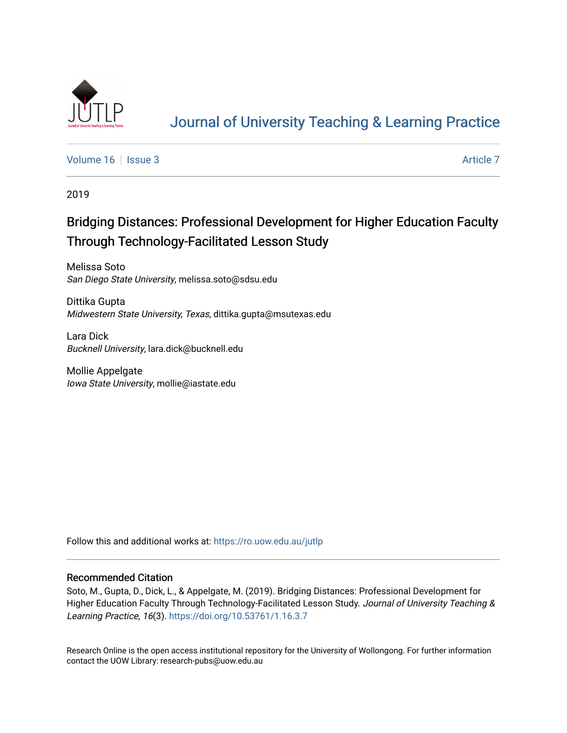

# [Journal of University Teaching & Learning Practice](https://ro.uow.edu.au/jutlp)

[Volume 16](https://ro.uow.edu.au/jutlp/vol16) | [Issue 3](https://ro.uow.edu.au/jutlp/vol16/iss3) Article 7

2019

## Bridging Distances: Professional Development for Higher Education Faculty Through Technology-Facilitated Lesson Study

Melissa Soto San Diego State University, melissa.soto@sdsu.edu

Dittika Gupta Midwestern State University, Texas, dittika.gupta@msutexas.edu

Lara Dick Bucknell University, lara.dick@bucknell.edu

Mollie Appelgate Iowa State University, mollie@iastate.edu

Follow this and additional works at: [https://ro.uow.edu.au/jutlp](https://ro.uow.edu.au/jutlp?utm_source=ro.uow.edu.au%2Fjutlp%2Fvol16%2Fiss3%2F7&utm_medium=PDF&utm_campaign=PDFCoverPages) 

### Recommended Citation

Soto, M., Gupta, D., Dick, L., & Appelgate, M. (2019). Bridging Distances: Professional Development for Higher Education Faculty Through Technology-Facilitated Lesson Study. Journal of University Teaching & Learning Practice, 16(3). <https://doi.org/10.53761/1.16.3.7>

Research Online is the open access institutional repository for the University of Wollongong. For further information contact the UOW Library: research-pubs@uow.edu.au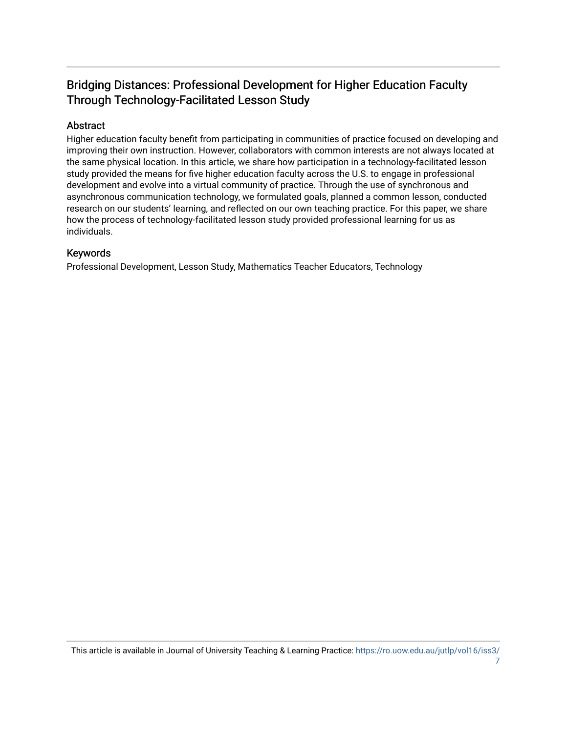## Bridging Distances: Professional Development for Higher Education Faculty Through Technology-Facilitated Lesson Study

## Abstract

Higher education faculty benefit from participating in communities of practice focused on developing and improving their own instruction. However, collaborators with common interests are not always located at the same physical location. In this article, we share how participation in a technology-facilitated lesson study provided the means for five higher education faculty across the U.S. to engage in professional development and evolve into a virtual community of practice. Through the use of synchronous and asynchronous communication technology, we formulated goals, planned a common lesson, conducted research on our students' learning, and reflected on our own teaching practice. For this paper, we share how the process of technology-facilitated lesson study provided professional learning for us as individuals.

## Keywords

Professional Development, Lesson Study, Mathematics Teacher Educators, Technology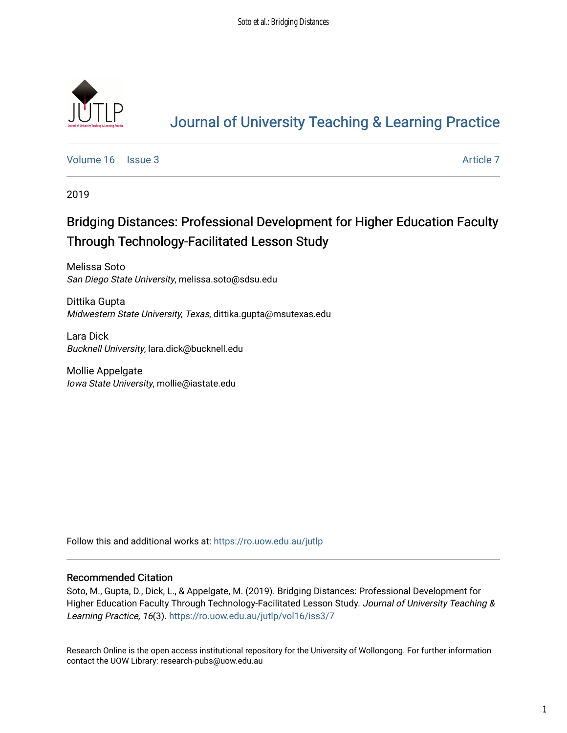

# [Journal of University Teaching & Learning Practice](https://ro.uow.edu.au/jutlp)

[Volume 16](https://ro.uow.edu.au/jutlp/vol16) | [Issue 3](https://ro.uow.edu.au/jutlp/vol16/iss3) Article 7

2019

# Bridging Distances: Professional Development for Higher Education Faculty Through Technology-Facilitated Lesson Study

Melissa Soto San Diego State University, melissa.soto@sdsu.edu

Dittika Gupta Midwestern State University, Texas, dittika.gupta@msutexas.edu

Lara Dick Bucknell University, lara.dick@bucknell.edu

Mollie Appelgate Iowa State University, mollie@iastate.edu

Follow this and additional works at: [https://ro.uow.edu.au/jutlp](https://ro.uow.edu.au/jutlp?utm_source=ro.uow.edu.au%2Fjutlp%2Fvol16%2Fiss3%2F7&utm_medium=PDF&utm_campaign=PDFCoverPages) 

### Recommended Citation

Soto, M., Gupta, D., Dick, L., & Appelgate, M. (2019). Bridging Distances: Professional Development for Higher Education Faculty Through Technology-Facilitated Lesson Study. Journal of University Teaching & Learning Practice, 16(3). [https://ro.uow.edu.au/jutlp/vol16/iss3/7](https://ro.uow.edu.au/jutlp/vol16/iss3/7?utm_source=ro.uow.edu.au%2Fjutlp%2Fvol16%2Fiss3%2F7&utm_medium=PDF&utm_campaign=PDFCoverPages)

Research Online is the open access institutional repository for the University of Wollongong. For further information contact the UOW Library: research-pubs@uow.edu.au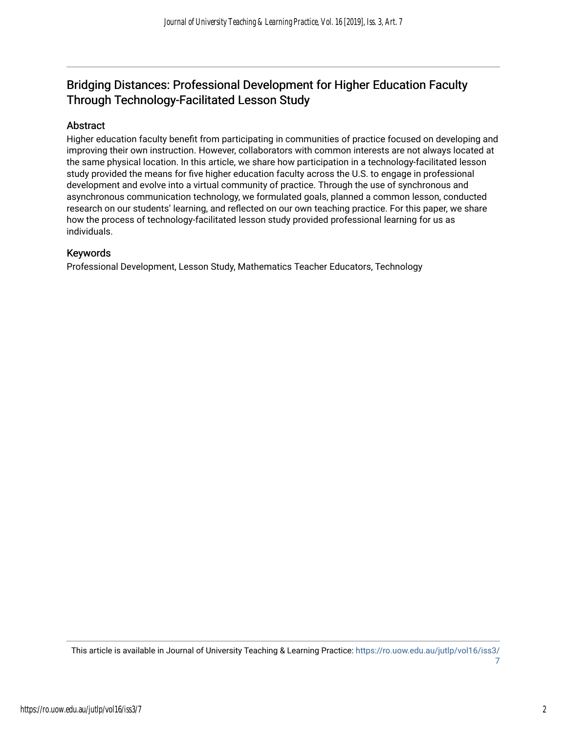## Bridging Distances: Professional Development for Higher Education Faculty Through Technology-Facilitated Lesson Study

## Abstract

Higher education faculty benefit from participating in communities of practice focused on developing and improving their own instruction. However, collaborators with common interests are not always located at the same physical location. In this article, we share how participation in a technology-facilitated lesson study provided the means for five higher education faculty across the U.S. to engage in professional development and evolve into a virtual community of practice. Through the use of synchronous and asynchronous communication technology, we formulated goals, planned a common lesson, conducted research on our students' learning, and reflected on our own teaching practice. For this paper, we share how the process of technology-facilitated lesson study provided professional learning for us as individuals.

## Keywords

Professional Development, Lesson Study, Mathematics Teacher Educators, Technology

This article is available in Journal of University Teaching & Learning Practice: [https://ro.uow.edu.au/jutlp/vol16/iss3/](https://ro.uow.edu.au/jutlp/vol16/iss3/7) [7](https://ro.uow.edu.au/jutlp/vol16/iss3/7)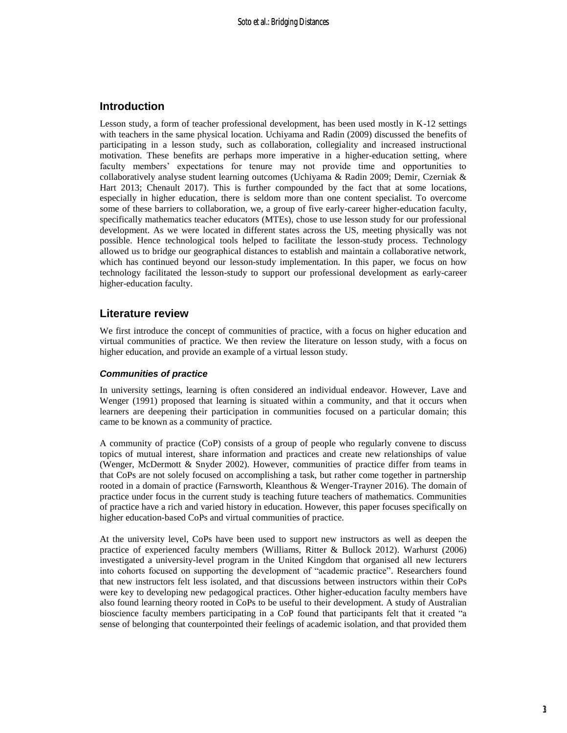## **Introduction**

Lesson study, a form of teacher professional development, has been used mostly in K-12 settings with teachers in the same physical location. Uchiyama and Radin (2009) discussed the benefits of participating in a lesson study, such as collaboration, collegiality and increased instructional motivation. These benefits are perhaps more imperative in a higher-education setting, where faculty members' expectations for tenure may not provide time and opportunities to collaboratively analyse student learning outcomes (Uchiyama & Radin 2009; Demir, Czerniak & Hart 2013; Chenault 2017). This is further compounded by the fact that at some locations, especially in higher education, there is seldom more than one content specialist. To overcome some of these barriers to collaboration, we, a group of five early-career higher-education faculty, specifically mathematics teacher educators (MTEs), chose to use lesson study for our professional development. As we were located in different states across the US, meeting physically was not possible. Hence technological tools helped to facilitate the lesson-study process. Technology allowed us to bridge our geographical distances to establish and maintain a collaborative network, which has continued beyond our lesson-study implementation. In this paper, we focus on how technology facilitated the lesson-study to support our professional development as early-career higher-education faculty.

## **Literature review**

We first introduce the concept of communities of practice, with a focus on higher education and virtual communities of practice. We then review the literature on lesson study, with a focus on higher education, and provide an example of a virtual lesson study.

#### *Communities of practice*

In university settings, learning is often considered an individual endeavor. However, Lave and Wenger (1991) proposed that learning is situated within a community, and that it occurs when learners are deepening their participation in communities focused on a particular domain; this came to be known as a community of practice.

A community of practice (CoP) consists of a group of people who regularly convene to discuss topics of mutual interest, share information and practices and create new relationships of value (Wenger, McDermott & Snyder 2002). However, communities of practice differ from teams in that CoPs are not solely focused on accomplishing a task, but rather come together in partnership rooted in a domain of practice (Farnsworth, Kleanthous & Wenger-Trayner 2016). The domain of practice under focus in the current study is teaching future teachers of mathematics. Communities of practice have a rich and varied history in education. However, this paper focuses specifically on higher education-based CoPs and virtual communities of practice.

At the university level, CoPs have been used to support new instructors as well as deepen the practice of experienced faculty members (Williams, Ritter & Bullock 2012). Warhurst (2006) investigated a university-level program in the United Kingdom that organised all new lecturers into cohorts focused on supporting the development of "academic practice". Researchers found that new instructors felt less isolated, and that discussions between instructors within their CoPs were key to developing new pedagogical practices. Other higher-education faculty members have also found learning theory rooted in CoPs to be useful to their development. A study of Australian bioscience faculty members participating in a CoP found that participants felt that it created "a sense of belonging that counterpointed their feelings of academic isolation, and that provided them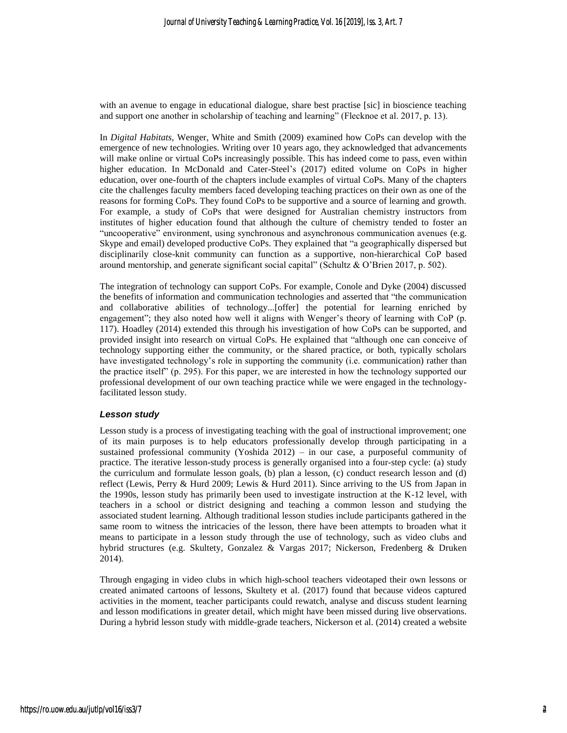with an avenue to engage in educational dialogue, share best practise [sic] in bioscience teaching and support one another in scholarship of teaching and learning" (Flecknoe et al. 2017, p. 13).

In *Digital Habitats,* Wenger, White and Smith (2009) examined how CoPs can develop with the emergence of new technologies. Writing over 10 years ago, they acknowledged that advancements will make online or virtual CoPs increasingly possible. This has indeed come to pass, even within higher education. In McDonald and Cater-Steel's (2017) edited volume on CoPs in higher education, over one-fourth of the chapters include examples of virtual CoPs. Many of the chapters cite the challenges faculty members faced developing teaching practices on their own as one of the reasons for forming CoPs. They found CoPs to be supportive and a source of learning and growth. For example, a study of CoPs that were designed for Australian chemistry instructors from institutes of higher education found that although the culture of chemistry tended to foster an "uncooperative" environment, using synchronous and asynchronous communication avenues (e.g. Skype and email) developed productive CoPs. They explained that "a geographically dispersed but disciplinarily close-knit community can function as a supportive, non-hierarchical CoP based around mentorship, and generate significant social capital" (Schultz & O'Brien 2017, p. 502).

The integration of technology can support CoPs. For example, Conole and Dyke (2004) discussed the benefits of information and communication technologies and asserted that "the communication and collaborative abilities of technology...[offer] the potential for learning enriched by engagement"; they also noted how well it aligns with Wenger's theory of learning with CoP (p. 117). Hoadley (2014) extended this through his investigation of how CoPs can be supported, and provided insight into research on virtual CoPs. He explained that "although one can conceive of technology supporting either the community, or the shared practice, or both, typically scholars have investigated technology's role in supporting the community (i.e. communication) rather than the practice itself" (p. 295). For this paper, we are interested in how the technology supported our professional development of our own teaching practice while we were engaged in the technologyfacilitated lesson study.

#### *Lesson study*

Lesson study is a process of investigating teaching with the goal of instructional improvement; one of its main purposes is to help educators professionally develop through participating in a sustained professional community (Yoshida 2012) – in our case, a purposeful community of practice. The iterative lesson-study process is generally organised into a four-step cycle: (a) study the curriculum and formulate lesson goals, (b) plan a lesson, (c) conduct research lesson and (d) reflect (Lewis, Perry & Hurd 2009; Lewis & Hurd 2011). Since arriving to the US from Japan in the 1990s, lesson study has primarily been used to investigate instruction at the K-12 level, with teachers in a school or district designing and teaching a common lesson and studying the associated student learning. Although traditional lesson studies include participants gathered in the same room to witness the intricacies of the lesson, there have been attempts to broaden what it means to participate in a lesson study through the use of technology, such as video clubs and hybrid structures (e.g. Skultety, Gonzalez & Vargas 2017; Nickerson, Fredenberg & Druken 2014).

Through engaging in video clubs in which high-school teachers videotaped their own lessons or created animated cartoons of lessons, Skultety et al. (2017) found that because videos captured activities in the moment, teacher participants could rewatch, analyse and discuss student learning and lesson modifications in greater detail, which might have been missed during live observations. During a hybrid lesson study with middle-grade teachers, Nickerson et al. (2014) created a website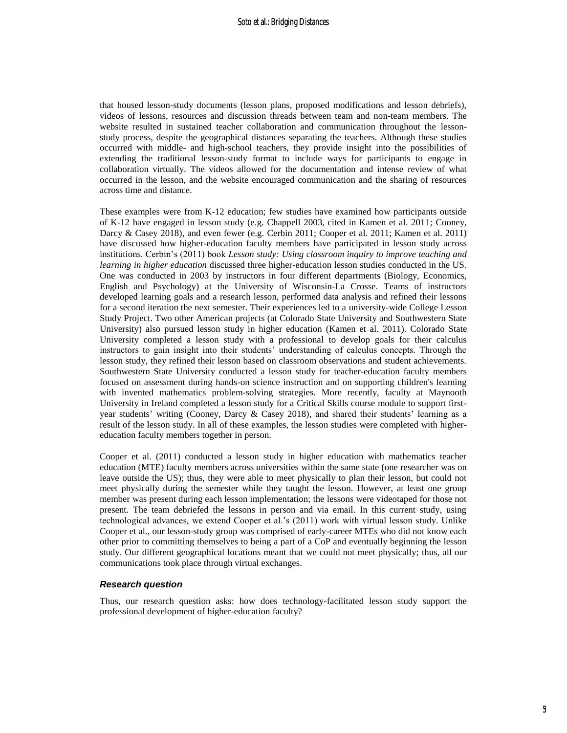that housed lesson-study documents (lesson plans, proposed modifications and lesson debriefs), videos of lessons, resources and discussion threads between team and non-team members. The website resulted in sustained teacher collaboration and communication throughout the lessonstudy process, despite the geographical distances separating the teachers. Although these studies occurred with middle- and high-school teachers, they provide insight into the possibilities of extending the traditional lesson-study format to include ways for participants to engage in collaboration virtually. The videos allowed for the documentation and intense review of what occurred in the lesson, and the website encouraged communication and the sharing of resources across time and distance.

These examples were from K-12 education; few studies have examined how participants outside of K-12 have engaged in lesson study (e.g. Chappell 2003, cited in Kamen et al. 2011; Cooney, Darcy & Casey 2018), and even fewer (e.g. Cerbin 2011; Cooper et al. 2011; Kamen et al. 2011) have discussed how higher-education faculty members have participated in lesson study across institutions. Cerbin's (2011) book *Lesson study: Using classroom inquiry to improve teaching and learning in higher education* discussed three higher-education lesson studies conducted in the US. One was conducted in 2003 by instructors in four different departments (Biology, Economics, English and Psychology) at the University of Wisconsin-La Crosse. Teams of instructors developed learning goals and a research lesson, performed data analysis and refined their lessons for a second iteration the next semester. Their experiences led to a university-wide College Lesson Study Project. Two other American projects (at Colorado State University and Southwestern State University) also pursued lesson study in higher education (Kamen et al. 2011). Colorado State University completed a lesson study with a professional to develop goals for their calculus instructors to gain insight into their students' understanding of calculus concepts. Through the lesson study, they refined their lesson based on classroom observations and student achievements. Southwestern State University conducted a lesson study for teacher-education faculty members focused on assessment during hands-on science instruction and on supporting children's learning with invented mathematics problem-solving strategies. More recently, faculty at Maynooth University in Ireland completed a lesson study for a Critical Skills course module to support firstyear students' writing (Cooney, Darcy & Casey 2018), and shared their students' learning as a result of the lesson study. In all of these examples, the lesson studies were completed with highereducation faculty members together in person.

Cooper et al. (2011) conducted a lesson study in higher education with mathematics teacher education (MTE) faculty members across universities within the same state (one researcher was on leave outside the US); thus, they were able to meet physically to plan their lesson, but could not meet physically during the semester while they taught the lesson. However, at least one group member was present during each lesson implementation; the lessons were videotaped for those not present. The team debriefed the lessons in person and via email. In this current study, using technological advances, we extend Cooper et al.'s (2011) work with virtual lesson study. Unlike Cooper et al., our lesson-study group was comprised of early-career MTEs who did not know each other prior to committing themselves to being a part of a CoP and eventually beginning the lesson study. Our different geographical locations meant that we could not meet physically; thus, all our communications took place through virtual exchanges.

#### *Research question*

Thus, our research question asks: how does technology-facilitated lesson study support the professional development of higher-education faculty?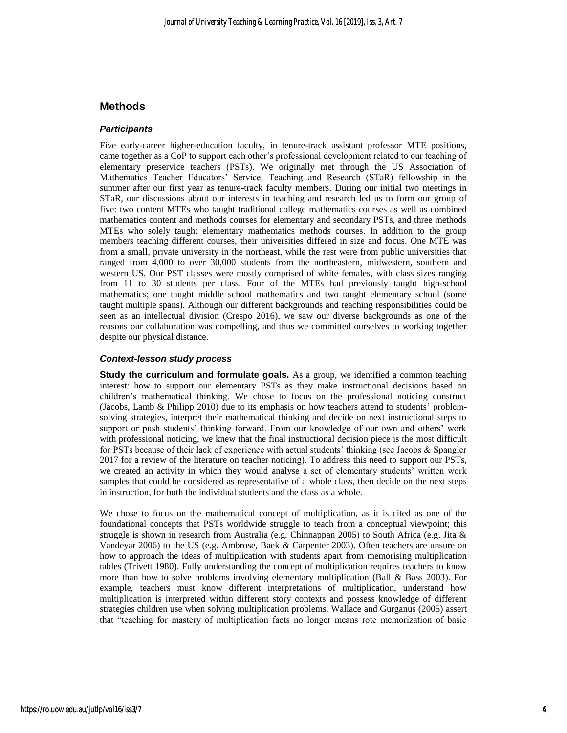## **Methods**

#### *Participants*

Five early-career higher-education faculty, in tenure-track assistant professor MTE positions, came together as a CoP to support each other's professional development related to our teaching of elementary preservice teachers (PSTs). We originally met through the US Association of Mathematics Teacher Educators' Service, Teaching and Research (STaR) fellowship in the summer after our first year as tenure-track faculty members. During our initial two meetings in STaR, our discussions about our interests in teaching and research led us to form our group of five: two content MTEs who taught traditional college mathematics courses as well as combined mathematics content and methods courses for elementary and secondary PSTs, and three methods MTEs who solely taught elementary mathematics methods courses. In addition to the group members teaching different courses, their universities differed in size and focus. One MTE was from a small, private university in the northeast, while the rest were from public universities that ranged from 4,000 to over 30,000 students from the northeastern, midwestern, southern and western US. Our PST classes were mostly comprised of white females, with class sizes ranging from 11 to 30 students per class. Four of the MTEs had previously taught high-school mathematics; one taught middle school mathematics and two taught elementary school (some taught multiple spans). Although our different backgrounds and teaching responsibilities could be seen as an intellectual division (Crespo 2016), we saw our diverse backgrounds as one of the reasons our collaboration was compelling, and thus we committed ourselves to working together despite our physical distance.

#### *Context-lesson study process*

**Study the curriculum and formulate goals.** As a group, we identified a common teaching interest: how to support our elementary PSTs as they make instructional decisions based on children's mathematical thinking. We chose to focus on the professional noticing construct (Jacobs, Lamb & Philipp 2010) due to its emphasis on how teachers attend to students' problemsolving strategies, interpret their mathematical thinking and decide on next instructional steps to support or push students' thinking forward. From our knowledge of our own and others' work with professional noticing, we knew that the final instructional decision piece is the most difficult for PSTs because of their lack of experience with actual students' thinking (see Jacobs & Spangler 2017 for a review of the literature on teacher noticing). To address this need to support our PSTs, we created an activity in which they would analyse a set of elementary students' written work samples that could be considered as representative of a whole class, then decide on the next steps in instruction, for both the individual students and the class as a whole.

We chose to focus on the mathematical concept of multiplication, as it is cited as one of the foundational concepts that PSTs worldwide struggle to teach from a conceptual viewpoint; this struggle is shown in research from Australia (e.g. Chinnappan 2005) to South Africa (e.g. Jita & Vandeyar 2006) to the US (e.g. Ambrose, Baek & Carpenter 2003). Often teachers are unsure on how to approach the ideas of multiplication with students apart from memorising multiplication tables (Trivett 1980). Fully understanding the concept of multiplication requires teachers to know more than how to solve problems involving elementary multiplication (Ball & Bass 2003). For example, teachers must know different interpretations of multiplication, understand how multiplication is interpreted within different story contexts and possess knowledge of different strategies children use when solving multiplication problems. Wallace and Gurganus (2005) assert that "teaching for mastery of multiplication facts no longer means rote memorization of basic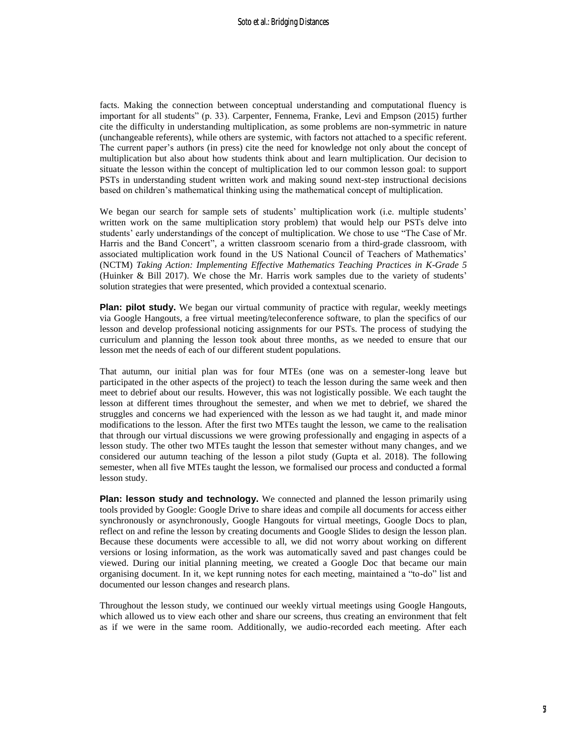facts. Making the connection between conceptual understanding and computational fluency is important for all students" (p. 33). Carpenter, Fennema, Franke, Levi and Empson (2015) further cite the difficulty in understanding multiplication, as some problems are non-symmetric in nature (unchangeable referents), while others are systemic, with factors not attached to a specific referent. The current paper's authors (in press) cite the need for knowledge not only about the concept of multiplication but also about how students think about and learn multiplication. Our decision to situate the lesson within the concept of multiplication led to our common lesson goal: to support PSTs in understanding student written work and making sound next-step instructional decisions based on children's mathematical thinking using the mathematical concept of multiplication.

We began our search for sample sets of students' multiplication work (i.e. multiple students' written work on the same multiplication story problem) that would help our PSTs delve into students' early understandings of the concept of multiplication. We chose to use "The Case of Mr. Harris and the Band Concert", a written classroom scenario from a third-grade classroom, with associated multiplication work found in the US National Council of Teachers of Mathematics' (NCTM) *Taking Action: Implementing Effective Mathematics Teaching Practices in K-Grade 5* (Huinker & Bill 2017). We chose the Mr. Harris work samples due to the variety of students' solution strategies that were presented, which provided a contextual scenario.

**Plan: pilot study.** We began our virtual community of practice with regular, weekly meetings via Google Hangouts, a free virtual meeting/teleconference software, to plan the specifics of our lesson and develop professional noticing assignments for our PSTs. The process of studying the curriculum and planning the lesson took about three months, as we needed to ensure that our lesson met the needs of each of our different student populations.

That autumn, our initial plan was for four MTEs (one was on a semester-long leave but participated in the other aspects of the project) to teach the lesson during the same week and then meet to debrief about our results. However, this was not logistically possible. We each taught the lesson at different times throughout the semester, and when we met to debrief, we shared the struggles and concerns we had experienced with the lesson as we had taught it, and made minor modifications to the lesson. After the first two MTEs taught the lesson, we came to the realisation that through our virtual discussions we were growing professionally and engaging in aspects of a lesson study. The other two MTEs taught the lesson that semester without many changes, and we considered our autumn teaching of the lesson a pilot study (Gupta et al. 2018). The following semester, when all five MTEs taught the lesson, we formalised our process and conducted a formal lesson study.

**Plan: lesson study and technology.** We connected and planned the lesson primarily using tools provided by Google: Google Drive to share ideas and compile all documents for access either synchronously or asynchronously, Google Hangouts for virtual meetings, Google Docs to plan, reflect on and refine the lesson by creating documents and Google Slides to design the lesson plan. Because these documents were accessible to all, we did not worry about working on different versions or losing information, as the work was automatically saved and past changes could be viewed. During our initial planning meeting, we created a Google Doc that became our main organising document. In it, we kept running notes for each meeting, maintained a "to-do" list and documented our lesson changes and research plans.

Throughout the lesson study, we continued our weekly virtual meetings using Google Hangouts, which allowed us to view each other and share our screens, thus creating an environment that felt as if we were in the same room. Additionally, we audio-recorded each meeting. After each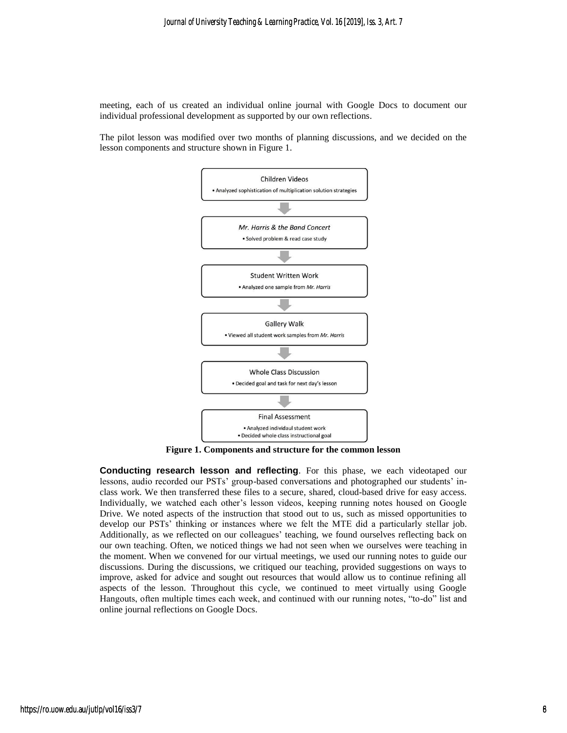meeting, each of us created an individual online journal with Google Docs to document our individual professional development as supported by our own reflections.

The pilot lesson was modified over two months of planning discussions, and we decided on the lesson components and structure shown in Figure 1.



**Figure 1. Components and structure for the common lesson**

**Conducting research lesson and reflecting**. For this phase, we each videotaped our lessons, audio recorded our PSTs' group-based conversations and photographed our students' inclass work. We then transferred these files to a secure, shared, cloud-based drive for easy access. Individually, we watched each other's lesson videos, keeping running notes housed on Google Drive. We noted aspects of the instruction that stood out to us, such as missed opportunities to develop our PSTs' thinking or instances where we felt the MTE did a particularly stellar job. Additionally, as we reflected on our colleagues' teaching, we found ourselves reflecting back on our own teaching. Often, we noticed things we had not seen when we ourselves were teaching in the moment. When we convened for our virtual meetings, we used our running notes to guide our discussions. During the discussions, we critiqued our teaching, provided suggestions on ways to improve, asked for advice and sought out resources that would allow us to continue refining all aspects of the lesson. Throughout this cycle, we continued to meet virtually using Google Hangouts, often multiple times each week, and continued with our running notes, "to-do" list and online journal reflections on Google Docs.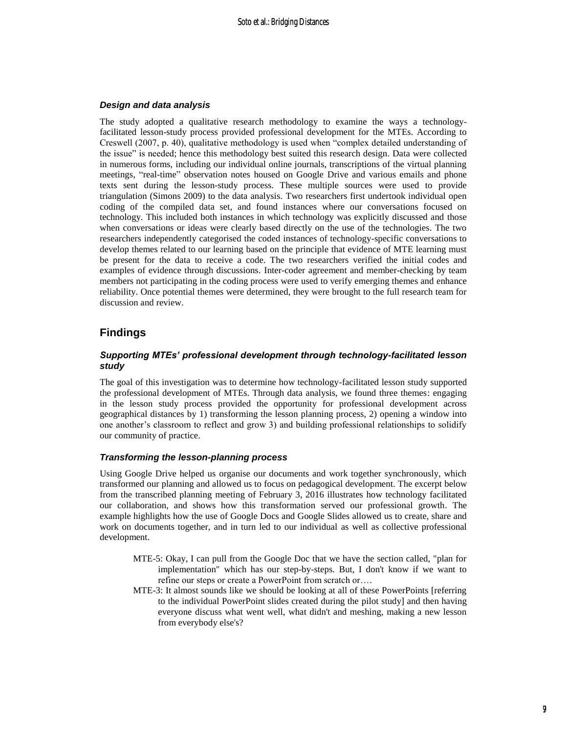#### *Design and data analysis*

The study adopted a qualitative research methodology to examine the ways a technologyfacilitated lesson-study process provided professional development for the MTEs. According to Creswell (2007, p. 40), qualitative methodology is used when "complex detailed understanding of the issue" is needed; hence this methodology best suited this research design. Data were collected in numerous forms, including our individual online journals, transcriptions of the virtual planning meetings, "real-time" observation notes housed on Google Drive and various emails and phone texts sent during the lesson-study process. These multiple sources were used to provide triangulation (Simons 2009) to the data analysis. Two researchers first undertook individual open coding of the compiled data set, and found instances where our conversations focused on technology. This included both instances in which technology was explicitly discussed and those when conversations or ideas were clearly based directly on the use of the technologies. The two researchers independently categorised the coded instances of technology-specific conversations to develop themes related to our learning based on the principle that evidence of MTE learning must be present for the data to receive a code. The two researchers verified the initial codes and examples of evidence through discussions. Inter-coder agreement and member-checking by team members not participating in the coding process were used to verify emerging themes and enhance reliability. Once potential themes were determined, they were brought to the full research team for discussion and review.

## **Findings**

#### *Supporting MTEs' professional development through technology-facilitated lesson study*

The goal of this investigation was to determine how technology-facilitated lesson study supported the professional development of MTEs. Through data analysis, we found three themes: engaging in the lesson study process provided the opportunity for professional development across geographical distances by 1) transforming the lesson planning process, 2) opening a window into one another's classroom to reflect and grow 3) and building professional relationships to solidify our community of practice.

#### *Transforming the lesson-planning process*

Using Google Drive helped us organise our documents and work together synchronously, which transformed our planning and allowed us to focus on pedagogical development. The excerpt below from the transcribed planning meeting of February 3, 2016 illustrates how technology facilitated our collaboration, and shows how this transformation served our professional growth. The example highlights how the use of Google Docs and Google Slides allowed us to create, share and work on documents together, and in turn led to our individual as well as collective professional development.

- MTE-5: Okay, I can pull from the Google Doc that we have the section called, "plan for implementation" which has our step-by-steps. But, I don't know if we want to refine our steps or create a PowerPoint from scratch or….
- MTE-3: It almost sounds like we should be looking at all of these PowerPoints [referring to the individual PowerPoint slides created during the pilot study] and then having everyone discuss what went well, what didn't and meshing, making a new lesson from everybody else's?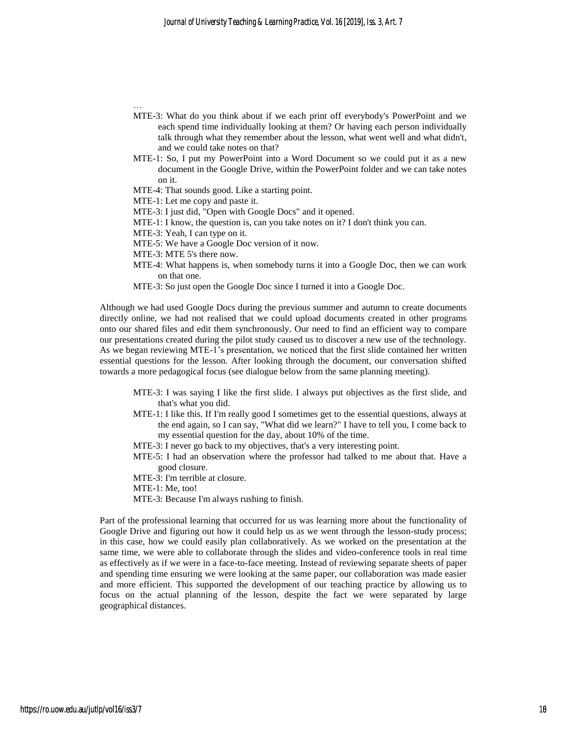- MTE-3: What do you think about if we each print off everybody's PowerPoint and we each spend time individually looking at them? Or having each person individually talk through what they remember about the lesson, what went well and what didn't, and we could take notes on that?
- MTE-1: So, I put my PowerPoint into a Word Document so we could put it as a new document in the Google Drive, within the PowerPoint folder and we can take notes on it.
- MTE-4: That sounds good. Like a starting point.
- MTE-1: Let me copy and paste it.
- MTE-3: I just did, "Open with Google Docs" and it opened.
- MTE-1: I know, the question is, can you take notes on it? I don't think you can.
- MTE-3: Yeah, I can type on it.
- MTE-5: We have a Google Doc version of it now.
- MTE-3: MTE 5's there now.

…

- MTE-4: What happens is, when somebody turns it into a Google Doc, then we can work on that one.
- MTE-3: So just open the Google Doc since I turned it into a Google Doc.

Although we had used Google Docs during the previous summer and autumn to create documents directly online, we had not realised that we could upload documents created in other programs onto our shared files and edit them synchronously. Our need to find an efficient way to compare our presentations created during the pilot study caused us to discover a new use of the technology. As we began reviewing MTE-1's presentation, we noticed that the first slide contained her written essential questions for the lesson. After looking through the document, our conversation shifted towards a more pedagogical focus (see dialogue below from the same planning meeting).

- MTE-3: I was saying I like the first slide. I always put objectives as the first slide, and that's what you did.
- MTE-1: I like this. If I'm really good I sometimes get to the essential questions, always at the end again, so I can say, "What did we learn?" I have to tell you, I come back to my essential question for the day, about 10% of the time.
- MTE-3: I never go back to my objectives, that's a very interesting point.
- MTE-5: I had an observation where the professor had talked to me about that. Have a good closure.
- MTE-3: I'm terrible at closure.
- MTE-1: Me, too!
- MTE-3: Because I'm always rushing to finish.

Part of the professional learning that occurred for us was learning more about the functionality of Google Drive and figuring out how it could help us as we went through the lesson-study process; in this case, how we could easily plan collaboratively. As we worked on the presentation at the same time, we were able to collaborate through the slides and video-conference tools in real time as effectively as if we were in a face-to-face meeting. Instead of reviewing separate sheets of paper and spending time ensuring we were looking at the same paper, our collaboration was made easier and more efficient. This supported the development of our teaching practice by allowing us to focus on the actual planning of the lesson, despite the fact we were separated by large geographical distances.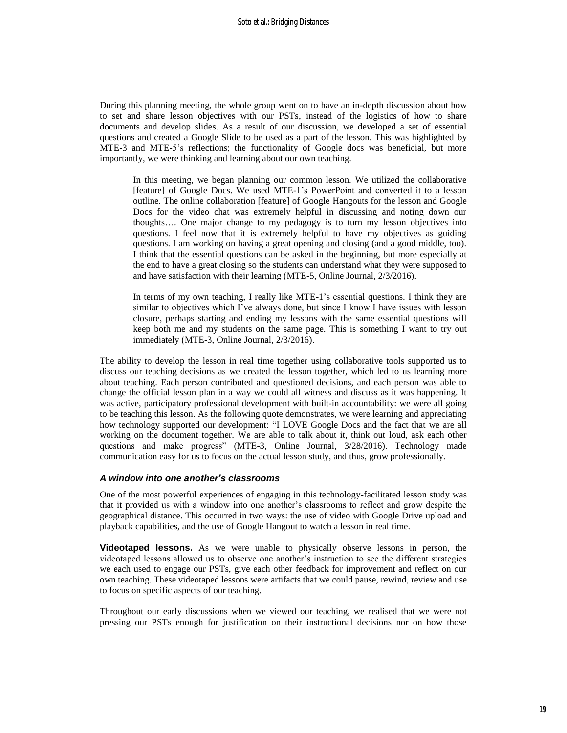During this planning meeting, the whole group went on to have an in-depth discussion about how to set and share lesson objectives with our PSTs, instead of the logistics of how to share documents and develop slides. As a result of our discussion, we developed a set of essential questions and created a Google Slide to be used as a part of the lesson. This was highlighted by MTE-3 and MTE-5's reflections; the functionality of Google docs was beneficial, but more importantly, we were thinking and learning about our own teaching.

In this meeting, we began planning our common lesson. We utilized the collaborative [feature] of Google Docs. We used MTE-1's PowerPoint and converted it to a lesson outline. The online collaboration [feature] of Google Hangouts for the lesson and Google Docs for the video chat was extremely helpful in discussing and noting down our thoughts…. One major change to my pedagogy is to turn my lesson objectives into questions. I feel now that it is extremely helpful to have my objectives as guiding questions. I am working on having a great opening and closing (and a good middle, too). I think that the essential questions can be asked in the beginning, but more especially at the end to have a great closing so the students can understand what they were supposed to and have satisfaction with their learning (MTE-5, Online Journal, 2/3/2016).

In terms of my own teaching, I really like MTE-1's essential questions. I think they are similar to objectives which I've always done, but since I know I have issues with lesson closure, perhaps starting and ending my lessons with the same essential questions will keep both me and my students on the same page. This is something I want to try out immediately (MTE-3, Online Journal, 2/3/2016).

The ability to develop the lesson in real time together using collaborative tools supported us to discuss our teaching decisions as we created the lesson together, which led to us learning more about teaching. Each person contributed and questioned decisions, and each person was able to change the official lesson plan in a way we could all witness and discuss as it was happening. It was active, participatory professional development with built-in accountability: we were all going to be teaching this lesson. As the following quote demonstrates, we were learning and appreciating how technology supported our development: "I LOVE Google Docs and the fact that we are all working on the document together. We are able to talk about it, think out loud, ask each other questions and make progress" (MTE-3, Online Journal, 3/28/2016). Technology made communication easy for us to focus on the actual lesson study, and thus, grow professionally.

#### *A window into one another's classrooms*

One of the most powerful experiences of engaging in this technology-facilitated lesson study was that it provided us with a window into one another's classrooms to reflect and grow despite the geographical distance. This occurred in two ways: the use of video with Google Drive upload and playback capabilities, and the use of Google Hangout to watch a lesson in real time.

**Videotaped lessons.** As we were unable to physically observe lessons in person, the videotaped lessons allowed us to observe one another's instruction to see the different strategies we each used to engage our PSTs, give each other feedback for improvement and reflect on our own teaching. These videotaped lessons were artifacts that we could pause, rewind, review and use to focus on specific aspects of our teaching.

Throughout our early discussions when we viewed our teaching, we realised that we were not pressing our PSTs enough for justification on their instructional decisions nor on how those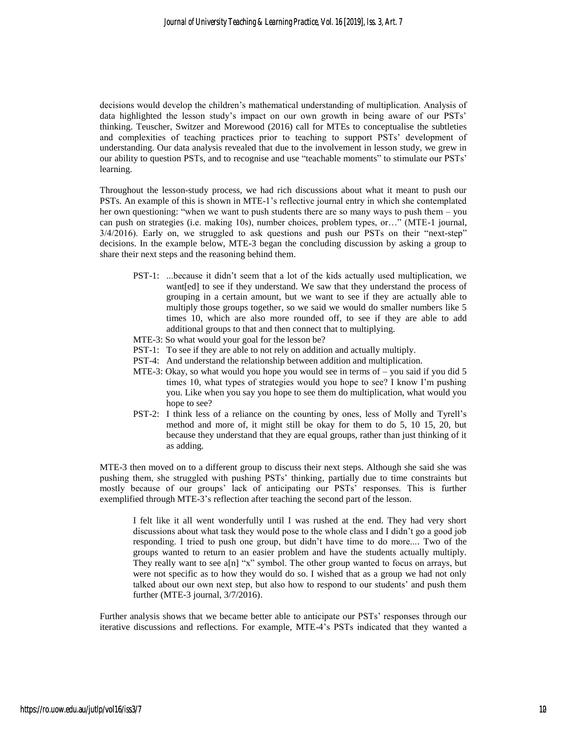decisions would develop the children's mathematical understanding of multiplication. Analysis of data highlighted the lesson study's impact on our own growth in being aware of our PSTs' thinking. Teuscher, Switzer and Morewood (2016) call for MTEs to conceptualise the subtleties and complexities of teaching practices prior to teaching to support PSTs' development of understanding. Our data analysis revealed that due to the involvement in lesson study, we grew in our ability to question PSTs, and to recognise and use "teachable moments" to stimulate our PSTs' learning.

Throughout the lesson-study process, we had rich discussions about what it meant to push our PSTs. An example of this is shown in MTE-1's reflective journal entry in which she contemplated her own questioning: "when we want to push students there are so many ways to push them – you can push on strategies (i.e. making 10s), number choices, problem types, or…" (MTE-1 journal, 3/4/2016). Early on, we struggled to ask questions and push our PSTs on their "next-step" decisions. In the example below, MTE-3 began the concluding discussion by asking a group to share their next steps and the reasoning behind them.

- PST-1: ...because it didn't seem that a lot of the kids actually used multiplication, we want[ed] to see if they understand. We saw that they understand the process of grouping in a certain amount, but we want to see if they are actually able to multiply those groups together, so we said we would do smaller numbers like 5 times 10, which are also more rounded off, to see if they are able to add additional groups to that and then connect that to multiplying.
- MTE-3: So what would your goal for the lesson be?
- PST-1: To see if they are able to not rely on addition and actually multiply.
- PST-4: And understand the relationship between addition and multiplication.
- MTE-3: Okay, so what would you hope you would see in terms of you said if you did 5 times 10, what types of strategies would you hope to see? I know I'm pushing you. Like when you say you hope to see them do multiplication, what would you hope to see?
- PST-2: I think less of a reliance on the counting by ones, less of Molly and Tyrell's method and more of, it might still be okay for them to do 5, 10 15, 20, but because they understand that they are equal groups, rather than just thinking of it as adding.

MTE-3 then moved on to a different group to discuss their next steps. Although she said she was pushing them, she struggled with pushing PSTs' thinking, partially due to time constraints but mostly because of our groups' lack of anticipating our PSTs' responses. This is further exemplified through MTE-3's reflection after teaching the second part of the lesson.

I felt like it all went wonderfully until I was rushed at the end. They had very short discussions about what task they would pose to the whole class and I didn't go a good job responding. I tried to push one group, but didn't have time to do more.... Two of the groups wanted to return to an easier problem and have the students actually multiply. They really want to see a[n] "x" symbol. The other group wanted to focus on arrays, but were not specific as to how they would do so. I wished that as a group we had not only talked about our own next step, but also how to respond to our students' and push them further (MTE-3 journal, 3/7/2016).

Further analysis shows that we became better able to anticipate our PSTs' responses through our iterative discussions and reflections. For example, MTE-4's PSTs indicated that they wanted a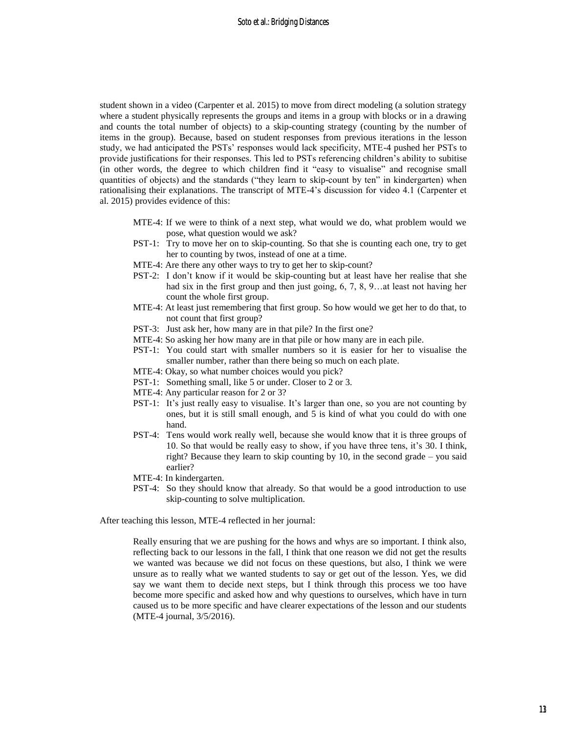student shown in a video (Carpenter et al. 2015) to move from direct modeling (a solution strategy where a student physically represents the groups and items in a group with blocks or in a drawing and counts the total number of objects) to a skip-counting strategy (counting by the number of items in the group). Because, based on student responses from previous iterations in the lesson study, we had anticipated the PSTs' responses would lack specificity, MTE-4 pushed her PSTs to provide justifications for their responses. This led to PSTs referencing children's ability to subitise (in other words, the degree to which children find it "easy to visualise" and recognise small quantities of objects) and the standards ("they learn to skip-count by ten" in kindergarten) when rationalising their explanations. The transcript of MTE-4's discussion for video 4.1 (Carpenter et al. 2015) provides evidence of this:

- MTE-4: If we were to think of a next step, what would we do, what problem would we pose, what question would we ask?
- PST-1: Try to move her on to skip-counting. So that she is counting each one, try to get her to counting by twos, instead of one at a time.
- MTE-4: Are there any other ways to try to get her to skip-count?
- PST-2: I don't know if it would be skip-counting but at least have her realise that she had six in the first group and then just going, 6, 7, 8, 9…at least not having her count the whole first group.
- MTE-4: At least just remembering that first group. So how would we get her to do that, to not count that first group?
- PST-3: Just ask her, how many are in that pile? In the first one?
- MTE-4: So asking her how many are in that pile or how many are in each pile.
- PST-1: You could start with smaller numbers so it is easier for her to visualise the smaller number, rather than there being so much on each plate.
- MTE-4: Okay, so what number choices would you pick?
- PST-1: Something small, like 5 or under. Closer to 2 or 3.
- MTE-4: Any particular reason for 2 or 3?
- PST-1: It's just really easy to visualise. It's larger than one, so you are not counting by ones, but it is still small enough, and 5 is kind of what you could do with one hand.
- PST-4: Tens would work really well, because she would know that it is three groups of 10. So that would be really easy to show, if you have three tens, it's 30. I think, right? Because they learn to skip counting by 10, in the second grade – you said earlier?
- MTE-4: In kindergarten.
- PST-4: So they should know that already. So that would be a good introduction to use skip-counting to solve multiplication.

After teaching this lesson, MTE-4 reflected in her journal:

Really ensuring that we are pushing for the hows and whys are so important. I think also, reflecting back to our lessons in the fall, I think that one reason we did not get the results we wanted was because we did not focus on these questions, but also, I think we were unsure as to really what we wanted students to say or get out of the lesson. Yes, we did say we want them to decide next steps, but I think through this process we too have become more specific and asked how and why questions to ourselves, which have in turn caused us to be more specific and have clearer expectations of the lesson and our students (MTE-4 journal, 3/5/2016).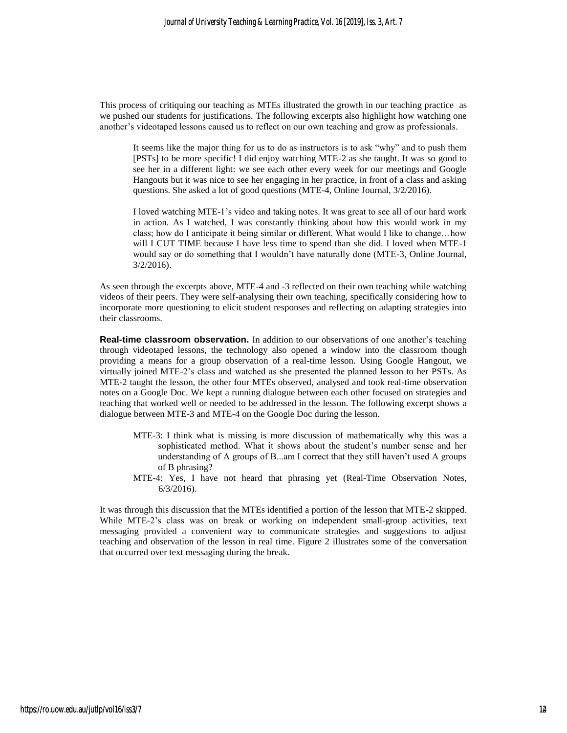This process of critiquing our teaching as MTEs illustrated the growth in our teaching practice as we pushed our students for justifications. The following excerpts also highlight how watching one another's videotaped lessons caused us to reflect on our own teaching and grow as professionals.

It seems like the major thing for us to do as instructors is to ask "why" and to push them [PSTs] to be more specific! I did enjoy watching MTE-2 as she taught. It was so good to see her in a different light: we see each other every week for our meetings and Google Hangouts but it was nice to see her engaging in her practice, in front of a class and asking questions. She asked a lot of good questions (MTE-4, Online Journal, 3/2/2016).

I loved watching MTE-1's video and taking notes. It was great to see all of our hard work in action. As I watched, I was constantly thinking about how this would work in my class; how do I anticipate it being similar or different. What would I like to change…how will I CUT TIME because I have less time to spend than she did. I loved when MTE-1 would say or do something that I wouldn't have naturally done (MTE-3, Online Journal, 3/2/2016).

As seen through the excerpts above, MTE-4 and -3 reflected on their own teaching while watching videos of their peers. They were self-analysing their own teaching, specifically considering how to incorporate more questioning to elicit student responses and reflecting on adapting strategies into their classrooms.

**Real-time classroom observation.** In addition to our observations of one another's teaching through videotaped lessons, the technology also opened a window into the classroom though providing a means for a group observation of a real-time lesson. Using Google Hangout, we virtually joined MTE-2's class and watched as she presented the planned lesson to her PSTs. As MTE-2 taught the lesson, the other four MTEs observed, analysed and took real-time observation notes on a Google Doc. We kept a running dialogue between each other focused on strategies and teaching that worked well or needed to be addressed in the lesson. The following excerpt shows a dialogue between MTE-3 and MTE-4 on the Google Doc during the lesson.

- MTE-3: I think what is missing is more discussion of mathematically why this was a sophisticated method. What it shows about the student's number sense and her understanding of A groups of B...am I correct that they still haven't used A groups of B phrasing?
- MTE-4: Yes, I have not heard that phrasing yet (Real-Time Observation Notes, 6/3/2016).

It was through this discussion that the MTEs identified a portion of the lesson that MTE-2 skipped. While MTE-2's class was on break or working on independent small-group activities, text messaging provided a convenient way to communicate strategies and suggestions to adjust teaching and observation of the lesson in real time. Figure 2 illustrates some of the conversation that occurred over text messaging during the break.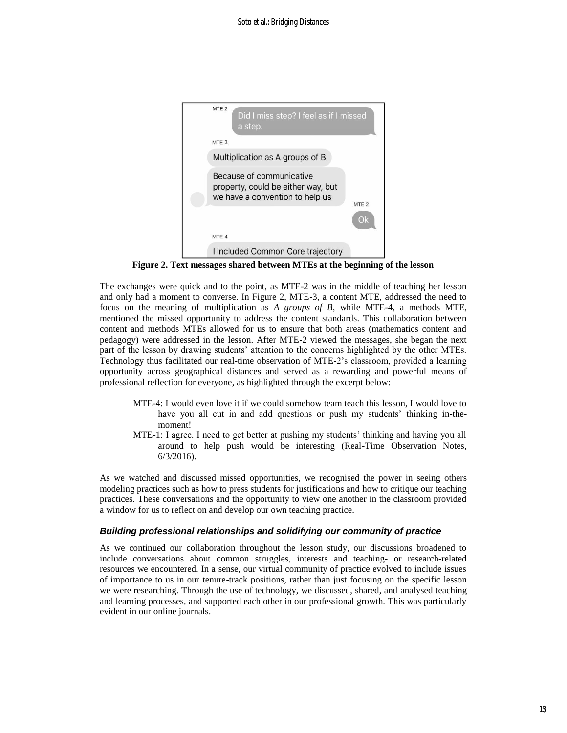

**Figure 2. Text messages shared between MTEs at the beginning of the lesson**

The exchanges were quick and to the point, as MTE-2 was in the middle of teaching her lesson and only had a moment to converse. In Figure 2, MTE-3, a content MTE, addressed the need to focus on the meaning of multiplication as *A groups of B*, while MTE-4, a methods MTE, mentioned the missed opportunity to address the content standards. This collaboration between content and methods MTEs allowed for us to ensure that both areas (mathematics content and pedagogy) were addressed in the lesson. After MTE-2 viewed the messages, she began the next part of the lesson by drawing students' attention to the concerns highlighted by the other MTEs. Technology thus facilitated our real-time observation of MTE-2's classroom, provided a learning opportunity across geographical distances and served as a rewarding and powerful means of professional reflection for everyone, as highlighted through the excerpt below:

- MTE-4: I would even love it if we could somehow team teach this lesson, I would love to have you all cut in and add questions or push my students' thinking in-themoment!
- MTE-1: I agree. I need to get better at pushing my students' thinking and having you all around to help push would be interesting (Real-Time Observation Notes, 6/3/2016).

As we watched and discussed missed opportunities, we recognised the power in seeing others modeling practices such as how to press students for justifications and how to critique our teaching practices. These conversations and the opportunity to view one another in the classroom provided a window for us to reflect on and develop our own teaching practice.

#### *Building professional relationships and solidifying our community of practice*

As we continued our collaboration throughout the lesson study, our discussions broadened to include conversations about common struggles, interests and teaching- or research-related resources we encountered. In a sense, our virtual community of practice evolved to include issues of importance to us in our tenure-track positions, rather than just focusing on the specific lesson we were researching. Through the use of technology, we discussed, shared, and analysed teaching and learning processes, and supported each other in our professional growth. This was particularly evident in our online journals.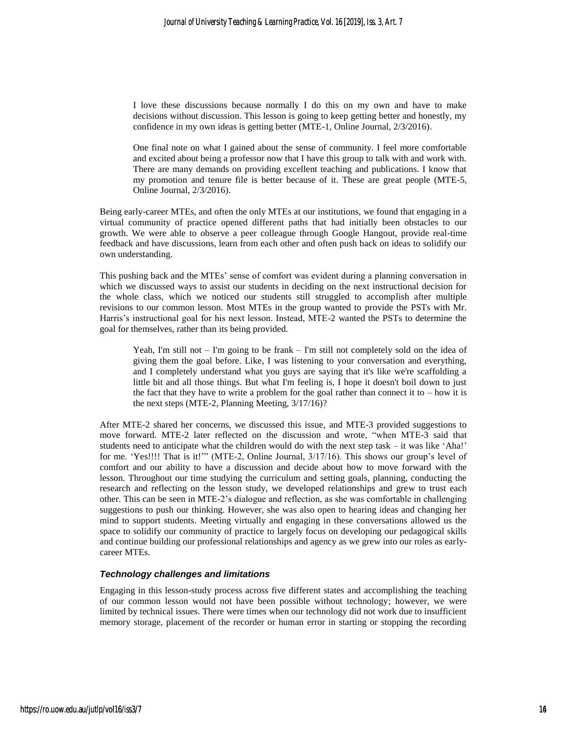I love these discussions because normally I do this on my own and have to make decisions without discussion. This lesson is going to keep getting better and honestly, my confidence in my own ideas is getting better (MTE-1, Online Journal, 2/3/2016).

One final note on what I gained about the sense of community. I feel more comfortable and excited about being a professor now that I have this group to talk with and work with. There are many demands on providing excellent teaching and publications. I know that my promotion and tenure file is better because of it. These are great people (MTE-5, Online Journal, 2/3/2016).

Being early-career MTEs, and often the only MTEs at our institutions, we found that engaging in a virtual community of practice opened different paths that had initially been obstacles to our growth. We were able to observe a peer colleague through Google Hangout, provide real-time feedback and have discussions, learn from each other and often push back on ideas to solidify our own understanding.

This pushing back and the MTEs' sense of comfort was evident during a planning conversation in which we discussed ways to assist our students in deciding on the next instructional decision for the whole class, which we noticed our students still struggled to accomplish after multiple revisions to our common lesson. Most MTEs in the group wanted to provide the PSTs with Mr. Harris's instructional goal for his next lesson. Instead, MTE-2 wanted the PSTs to determine the goal for themselves, rather than its being provided.

Yeah, I'm still not – I'm going to be frank – I'm still not completely sold on the idea of giving them the goal before. Like, I was listening to your conversation and everything, and I completely understand what you guys are saying that it's like we're scaffolding a little bit and all those things. But what I'm feeling is, I hope it doesn't boil down to just the fact that they have to write a problem for the goal rather than connect it to  $-$  how it is the next steps (MTE-2, Planning Meeting, 3/17/16)?

After MTE-2 shared her concerns, we discussed this issue, and MTE-3 provided suggestions to move forward. MTE-2 later reflected on the discussion and wrote, "when MTE-3 said that students need to anticipate what the children would do with the next step task – it was like 'Aha!' for me. 'Yes!!!! That is it!'" (MTE-2, Online Journal, 3/17/16). This shows our group's level of comfort and our ability to have a discussion and decide about how to move forward with the lesson. Throughout our time studying the curriculum and setting goals, planning, conducting the research and reflecting on the lesson study, we developed relationships and grew to trust each other. This can be seen in MTE-2's dialogue and reflection, as she was comfortable in challenging suggestions to push our thinking. However, she was also open to hearing ideas and changing her mind to support students. Meeting virtually and engaging in these conversations allowed us the space to solidify our community of practice to largely focus on developing our pedagogical skills and continue building our professional relationships and agency as we grew into our roles as earlycareer MTEs.

#### *Technology challenges and limitations*

Engaging in this lesson-study process across five different states and accomplishing the teaching of our common lesson would not have been possible without technology; however, we were limited by technical issues. There were times when our technology did not work due to insufficient memory storage, placement of the recorder or human error in starting or stopping the recording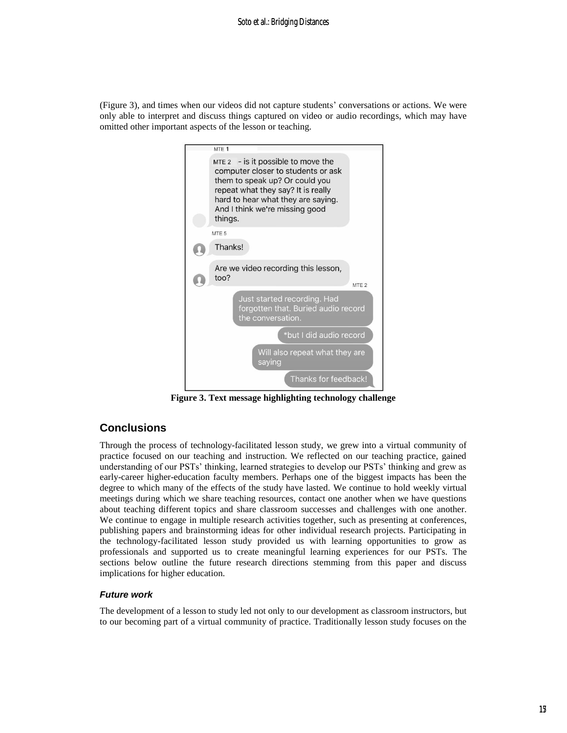(Figure 3), and times when our videos did not capture students' conversations or actions. We were only able to interpret and discuss things captured on video or audio recordings, which may have omitted other important aspects of the lesson or teaching.



**Figure 3. Text message highlighting technology challenge**

## **Conclusions**

Through the process of technology-facilitated lesson study, we grew into a virtual community of practice focused on our teaching and instruction. We reflected on our teaching practice, gained understanding of our PSTs' thinking, learned strategies to develop our PSTs' thinking and grew as early-career higher-education faculty members. Perhaps one of the biggest impacts has been the degree to which many of the effects of the study have lasted. We continue to hold weekly virtual meetings during which we share teaching resources, contact one another when we have questions about teaching different topics and share classroom successes and challenges with one another. We continue to engage in multiple research activities together, such as presenting at conferences, publishing papers and brainstorming ideas for other individual research projects. Participating in the technology-facilitated lesson study provided us with learning opportunities to grow as professionals and supported us to create meaningful learning experiences for our PSTs. The sections below outline the future research directions stemming from this paper and discuss implications for higher education.

### *Future work*

The development of a lesson to study led not only to our development as classroom instructors, but to our becoming part of a virtual community of practice. Traditionally lesson study focuses on the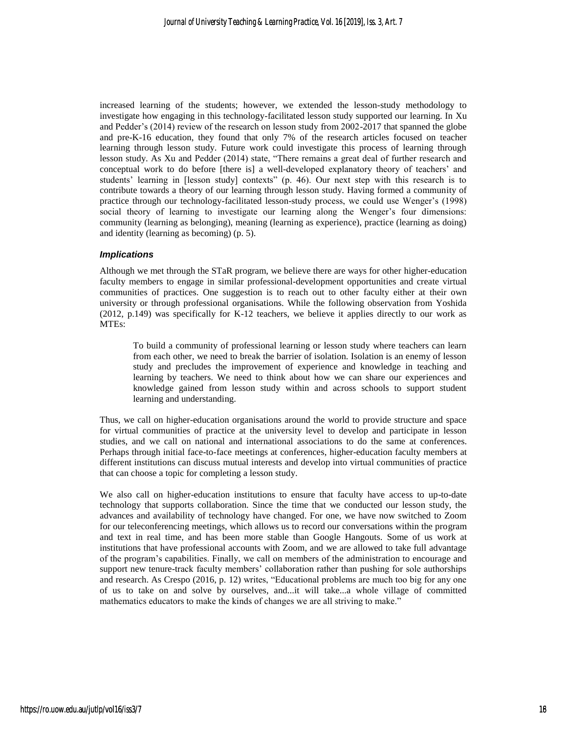increased learning of the students; however, we extended the lesson-study methodology to investigate how engaging in this technology-facilitated lesson study supported our learning. In Xu and Pedder's (2014) review of the research on lesson study from 2002-2017 that spanned the globe and pre-K-16 education, they found that only 7% of the research articles focused on teacher learning through lesson study. Future work could investigate this process of learning through lesson study. As Xu and Pedder (2014) state, "There remains a great deal of further research and conceptual work to do before [there is] a well-developed explanatory theory of teachers' and students' learning in [lesson study] contexts" (p. 46). Our next step with this research is to contribute towards a theory of our learning through lesson study. Having formed a community of practice through our technology-facilitated lesson-study process, we could use Wenger's (1998) social theory of learning to investigate our learning along the Wenger's four dimensions: community (learning as belonging), meaning (learning as experience), practice (learning as doing) and identity (learning as becoming) (p. 5).

#### *Implications*

Although we met through the STaR program, we believe there are ways for other higher-education faculty members to engage in similar professional-development opportunities and create virtual communities of practices. One suggestion is to reach out to other faculty either at their own university or through professional organisations. While the following observation from Yoshida (2012, p.149) was specifically for K-12 teachers, we believe it applies directly to our work as MTEs:

To build a community of professional learning or lesson study where teachers can learn from each other, we need to break the barrier of isolation. Isolation is an enemy of lesson study and precludes the improvement of experience and knowledge in teaching and learning by teachers. We need to think about how we can share our experiences and knowledge gained from lesson study within and across schools to support student learning and understanding.

Thus, we call on higher-education organisations around the world to provide structure and space for virtual communities of practice at the university level to develop and participate in lesson studies, and we call on national and international associations to do the same at conferences. Perhaps through initial face-to-face meetings at conferences, higher-education faculty members at different institutions can discuss mutual interests and develop into virtual communities of practice that can choose a topic for completing a lesson study.

We also call on higher-education institutions to ensure that faculty have access to up-to-date technology that supports collaboration. Since the time that we conducted our lesson study, the advances and availability of technology have changed. For one, we have now switched to Zoom for our teleconferencing meetings, which allows us to record our conversations within the program and text in real time, and has been more stable than Google Hangouts. Some of us work at institutions that have professional accounts with Zoom, and we are allowed to take full advantage of the program's capabilities. Finally, we call on members of the administration to encourage and support new tenure-track faculty members' collaboration rather than pushing for sole authorships and research. As Crespo (2016, p. 12) writes, "Educational problems are much too big for any one of us to take on and solve by ourselves, and...it will take...a whole village of committed mathematics educators to make the kinds of changes we are all striving to make."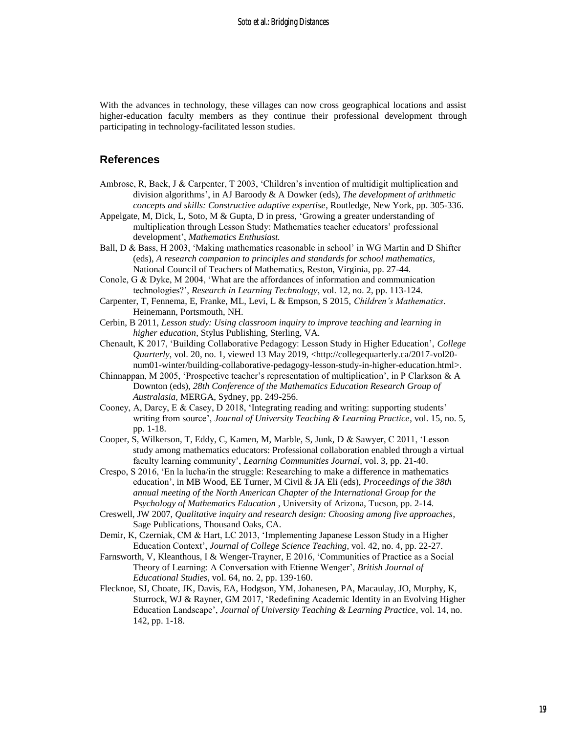With the advances in technology, these villages can now cross geographical locations and assist higher-education faculty members as they continue their professional development through participating in technology-facilitated lesson studies.

### **References**

- Ambrose, R, Baek, J & Carpenter, T 2003, 'Children's invention of multidigit multiplication and division algorithms', in AJ Baroody & A Dowker (eds), *The development of arithmetic concepts and skills: Constructive adaptive expertise*, Routledge, New York, pp. 305-336.
- Appelgate, M, Dick, L, Soto, M & Gupta, D in press, 'Growing a greater understanding of multiplication through Lesson Study: Mathematics teacher educators' professional development', *Mathematics Enthusiast.*
- Ball, D & Bass, H 2003, 'Making mathematics reasonable in school' in WG Martin and D Shifter (eds), *A research companion to principles and standards for school mathematics*, National Council of Teachers of Mathematics, Reston, Virginia, pp. 27-44.
- Conole, G & Dyke, M 2004, 'What are the affordances of information and communication technologies?', *Research in Learning Technology*, vol. 12, no. 2, pp. 113-124.
- Carpenter, T, Fennema, E, Franke, ML, Levi, L & Empson, S 2015, *Children's Mathematics*. Heinemann, Portsmouth, NH.
- Cerbin, B 2011, *Lesson study: Using classroom inquiry to improve teaching and learning in higher education*, Stylus Publishing, Sterling, VA.
- Chenault, K 2017, 'Building Collaborative Pedagogy: Lesson Study in Higher Education', *College Quarterly*, vol. 20, no. 1, viewed 13 May 2019, <http://collegequarterly.ca/2017-vol20num01-winter/building-collaborative-pedagogy-lesson-study-in-higher-education.html>.
- Chinnappan, M 2005, 'Prospective teacher's representation of multiplication', in P Clarkson & A Downton (eds), *28th Conference of the Mathematics Education Research Group of Australasia,* MERGA, Sydney, pp. 249-256.
- Cooney, A, Darcy, E & Casey, D 2018, 'Integrating reading and writing: supporting students' writing from source', *Journal of University Teaching & Learning Practice*, vol. 15, no. 5, pp. 1-18.
- Cooper, S, Wilkerson, T, Eddy, C, Kamen, M, Marble, S, Junk, D & Sawyer, C 2011, 'Lesson study among mathematics educators: Professional collaboration enabled through a virtual faculty learning community', *Learning Communities Journal*, vol. 3, pp. 21-40.
- Crespo, S 2016, 'En la lucha/in the struggle: Researching to make a difference in mathematics education', in MB Wood, EE Turner, M Civil & JA Eli (eds), *Proceedings of the 38th annual meeting of the North American Chapter of the International Group for the Psychology of Mathematics Education* , University of Arizona, Tucson, pp. 2-14.
- Creswell, JW 2007, *Qualitative inquiry and research design: Choosing among five approaches*, Sage Publications, Thousand Oaks, CA.
- Demir, K, Czerniak, CM & Hart, LC 2013, 'Implementing Japanese Lesson Study in a Higher Education Context', *Journal of College Science Teaching*, vol. 42, no. 4, pp. 22-27.
- Farnsworth, V, Kleanthous, I & Wenger-Trayner, E 2016, 'Communities of Practice as a Social Theory of Learning: A Conversation with Etienne Wenger', *British Journal of Educational Studies*, vol. 64, no. 2, pp. 139-160.
- Flecknoe, SJ, Choate, JK, Davis, EA, Hodgson, YM, Johanesen, PA, Macaulay, JO, Murphy, K, Sturrock, WJ & Rayner, GM 2017, 'Redefining Academic Identity in an Evolving Higher Education Landscape', *Journal of University Teaching & Learning Practice*, vol. 14, no. 142, pp. 1-18.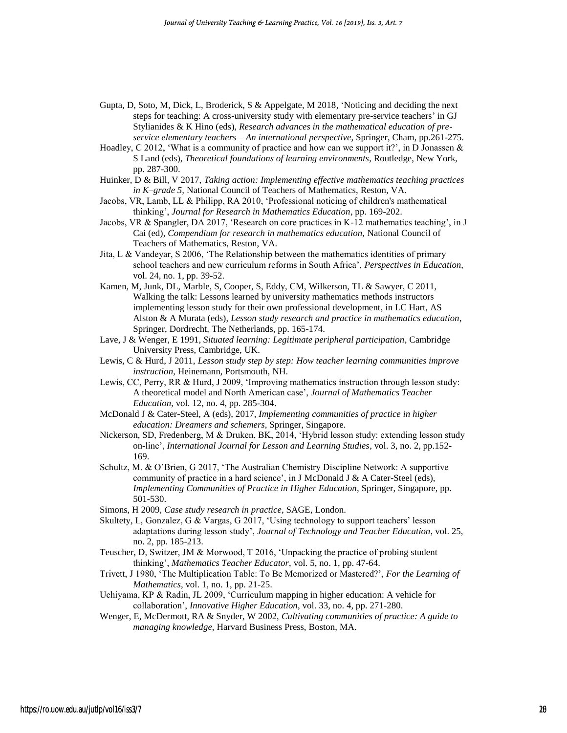- Gupta, D, Soto, M, Dick, L, Broderick, S & Appelgate, M 2018, 'Noticing and deciding the next steps for teaching: A cross-university study with elementary pre-service teachers' in GJ Stylianides & K Hino (eds), *Research advances in the mathematical education of preservice elementary teachers – An international perspective*, Springer, Cham, pp.261-275.
- Hoadley, C 2012, 'What is a community of practice and how can we support it?', in D Jonassen  $\&$ S Land (eds), *Theoretical foundations of learning environments*, Routledge, New York, pp. 287-300.
- Huinker, D & Bill, V 2017, *Taking action: Implementing effective mathematics teaching practices in K–grade 5,* National Council of Teachers of Mathematics, Reston, VA.
- Jacobs, VR, Lamb, LL & Philipp, RA 2010, 'Professional noticing of children's mathematical thinking', *Journal for Research in Mathematics Education*, pp. 169-202.
- Jacobs, VR & Spangler, DA 2017, 'Research on core practices in K-12 mathematics teaching', in J Cai (ed), *Compendium for research in mathematics education,* National Council of Teachers of Mathematics, Reston, VA.
- Jita, L & Vandeyar, S 2006, 'The Relationship between the mathematics identities of primary school teachers and new curriculum reforms in South Africa', *Perspectives in Education,*  vol. 24, no. 1, pp. 39-52.
- Kamen, M, Junk, DL, Marble, S, Cooper, S, Eddy, CM, Wilkerson, TL & Sawyer, C 2011, Walking the talk: Lessons learned by university mathematics methods instructors implementing lesson study for their own professional development, in LC Hart, AS Alston & A Murata (eds), *Lesson study research and practice in mathematics education*, Springer, Dordrecht, The Netherlands, pp. 165-174.
- Lave, J & Wenger, E 1991, *Situated learning: Legitimate peripheral participation*, Cambridge University Press, Cambridge, UK.
- Lewis, C & Hurd, J 2011, *Lesson study step by step: How teacher learning communities improve instruction*, Heinemann, Portsmouth, NH.
- Lewis, CC, Perry, RR & Hurd, J 2009, 'Improving mathematics instruction through lesson study: A theoretical model and North American case', *Journal of Mathematics Teacher Education*, vol. 12, no. 4, pp. 285-304.
- McDonald J & Cater-Steel, A (eds), 2017, *Implementing communities of practice in higher education: Dreamers and schemers*, Springer, Singapore.
- Nickerson, SD, Fredenberg, M & Druken, BK, 2014, 'Hybrid lesson study: extending lesson study on-line', *International Journal for Lesson and Learning Studies*, vol. 3, no. 2, pp.152- 169.
- Schultz, M. & O'Brien, G 2017, 'The Australian Chemistry Discipline Network: A supportive community of practice in a hard science', in J McDonald J & A Cater-Steel (eds), *Implementing Communities of Practice in Higher Education*, Springer, Singapore, pp. 501-530.
- Simons, H 2009, *Case study research in practice*, SAGE, London.
- Skultety, L, Gonzalez, G & Vargas, G 2017, 'Using technology to support teachers' lesson adaptations during lesson study', *Journal of Technology and Teacher Education*, vol. 25, no. 2, pp. 185-213.
- Teuscher, D, Switzer, JM & Morwood, T 2016, 'Unpacking the practice of probing student thinking', *Mathematics Teacher Educator*, vol. 5, no. 1, pp. 47-64.
- Trivett, J 1980, 'The Multiplication Table: To Be Memorized or Mastered?', *For the Learning of Mathematics*, vol. 1, no. 1, pp. 21-25.
- Uchiyama, KP & Radin, JL 2009, 'Curriculum mapping in higher education: A vehicle for collaboration', *Innovative Higher Education*, vol. 33, no. 4, pp. 271-280.
- Wenger, E, McDermott, RA & Snyder, W 2002, *Cultivating communities of practice: A guide to managing knowledge*, Harvard Business Press, Boston, MA.